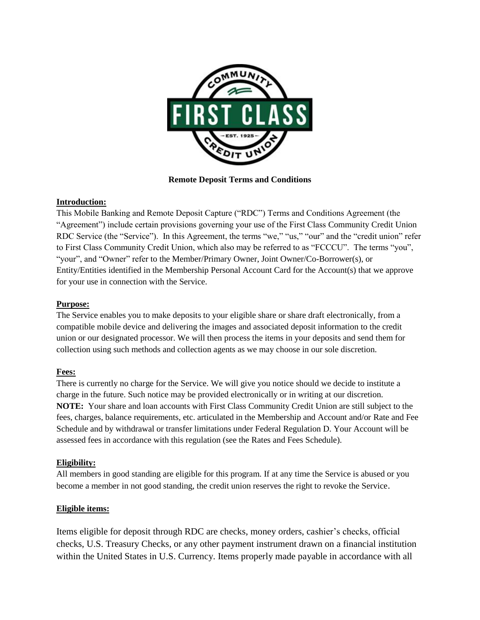

**Remote Deposit Terms and Conditions**

## **Introduction:**

This Mobile Banking and Remote Deposit Capture ("RDC") Terms and Conditions Agreement (the "Agreement") include certain provisions governing your use of the First Class Community Credit Union RDC Service (the "Service"). In this Agreement, the terms "we," "us," "our" and the "credit union" refer to First Class Community Credit Union, which also may be referred to as "FCCCU". The terms "you", "your", and "Owner" refer to the Member/Primary Owner, Joint Owner/Co-Borrower(s), or Entity/Entities identified in the Membership Personal Account Card for the Account(s) that we approve for your use in connection with the Service.

## **Purpose:**

The Service enables you to make deposits to your eligible share or share draft electronically, from a compatible mobile device and delivering the images and associated deposit information to the credit union or our designated processor. We will then process the items in your deposits and send them for collection using such methods and collection agents as we may choose in our sole discretion.

# **Fees:**

There is currently no charge for the Service. We will give you notice should we decide to institute a charge in the future. Such notice may be provided electronically or in writing at our discretion. **NOTE:** Your share and loan accounts with First Class Community Credit Union are still subject to the fees, charges, balance requirements, etc. articulated in the Membership and Account and/or Rate and Fee Schedule and by withdrawal or transfer limitations under Federal Regulation D. Your Account will be assessed fees in accordance with this regulation (see the Rates and Fees Schedule).

## **Eligibility:**

All members in good standing are eligible for this program. If at any time the Service is abused or you become a member in not good standing, the credit union reserves the right to revoke the Service.

## **Eligible items:**

Items eligible for deposit through RDC are checks, money orders, cashier's checks, official checks, U.S. Treasury Checks, or any other payment instrument drawn on a financial institution within the United States in U.S. Currency. Items properly made payable in accordance with all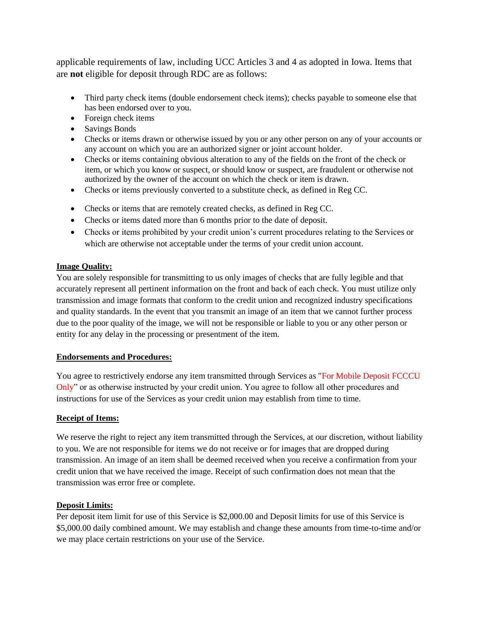applicable requirements of law, including UCC Articles 3 and 4 as adopted in Iowa. Items that are **not** eligible for deposit through RDC are as follows:

- Third party check items (double endorsement check items); checks payable to someone else that has been endorsed over to you.
- Foreign check items
- Savings Bonds
- Checks or items drawn or otherwise issued by you or any other person on any of your accounts or any account on which you are an authorized signer or joint account holder.
- Checks or items containing obvious alteration to any of the fields on the front of the check or item, or which you know or suspect, or should know or suspect, are fraudulent or otherwise not authorized by the owner of the account on which the check or item is drawn.
- Checks or items previously converted to a substitute check, as defined in Reg CC.
- Checks or items that are remotely created checks, as defined in Reg CC.
- Checks or items dated more than 6 months prior to the date of deposit.
- Checks or items prohibited by your credit union's current procedures relating to the Services or which are otherwise not acceptable under the terms of your credit union account.

#### **Image Quality:**

You are solely responsible for transmitting to us only images of checks that are fully legible and that accurately represent all pertinent information on the front and back of each check. You must utilize only transmission and image formats that conform to the credit union and recognized industry specifications and quality standards. In the event that you transmit an image of an item that we cannot further process due to the poor quality of the image, we will not be responsible or liable to you or any other person or entity for any delay in the processing or presentment of the item.

#### **Endorsements and Procedures:**

You agree to restrictively endorse any item transmitted through Services as "For Mobile Deposit FCCCU Only" or as otherwise instructed by your credit union. You agree to follow all other procedures and instructions for use of the Services as your credit union may establish from time to time.

#### **Receipt of Items:**

We reserve the right to reject any item transmitted through the Services, at our discretion, without liability to you. We are not responsible for items we do not receive or for images that are dropped during transmission. An image of an item shall be deemed received when you receive a confirmation from your credit union that we have received the image. Receipt of such confirmation does not mean that the transmission was error free or complete.

#### **Deposit Limits:**

Per deposit item limit for use of this Service is \$2,000.00 and Deposit limits for use of this Service is \$5,000.00 daily combined amount. We may establish and change these amounts from time-to-time and/or we may place certain restrictions on your use of the Service.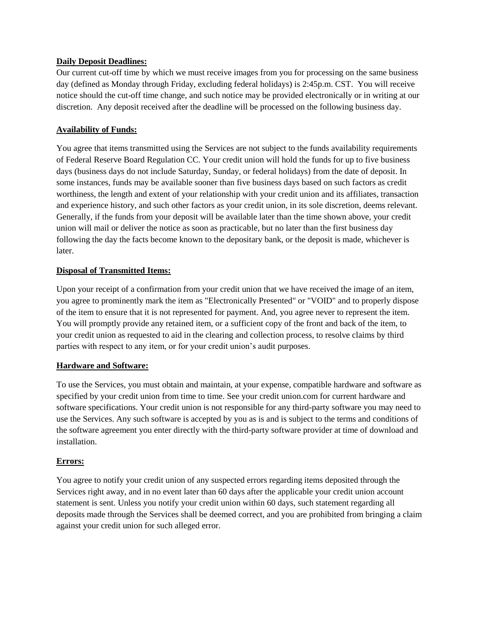### **Daily Deposit Deadlines:**

Our current cut-off time by which we must receive images from you for processing on the same business day (defined as Monday through Friday, excluding federal holidays) is 2:45p.m. CST. You will receive notice should the cut-off time change, and such notice may be provided electronically or in writing at our discretion. Any deposit received after the deadline will be processed on the following business day.

## **Availability of Funds:**

You agree that items transmitted using the Services are not subject to the funds availability requirements of Federal Reserve Board Regulation CC. Your credit union will hold the funds for up to five business days (business days do not include Saturday, Sunday, or federal holidays) from the date of deposit. In some instances, funds may be available sooner than five business days based on such factors as credit worthiness, the length and extent of your relationship with your credit union and its affiliates, transaction and experience history, and such other factors as your credit union, in its sole discretion, deems relevant. Generally, if the funds from your deposit will be available later than the time shown above, your credit union will mail or deliver the notice as soon as practicable, but no later than the first business day following the day the facts become known to the depositary bank, or the deposit is made, whichever is later.

## **Disposal of Transmitted Items:**

Upon your receipt of a confirmation from your credit union that we have received the image of an item, you agree to prominently mark the item as "Electronically Presented" or "VOID" and to properly dispose of the item to ensure that it is not represented for payment. And, you agree never to represent the item. You will promptly provide any retained item, or a sufficient copy of the front and back of the item, to your credit union as requested to aid in the clearing and collection process, to resolve claims by third parties with respect to any item, or for your credit union's audit purposes.

## **Hardware and Software:**

To use the Services, you must obtain and maintain, at your expense, compatible hardware and software as specified by your credit union from time to time. See your credit union.com for current hardware and software specifications. Your credit union is not responsible for any third-party software you may need to use the Services. Any such software is accepted by you as is and is subject to the terms and conditions of the software agreement you enter directly with the third-party software provider at time of download and installation.

## **Errors:**

You agree to notify your credit union of any suspected errors regarding items deposited through the Services right away, and in no event later than 60 days after the applicable your credit union account statement is sent. Unless you notify your credit union within 60 days, such statement regarding all deposits made through the Services shall be deemed correct, and you are prohibited from bringing a claim against your credit union for such alleged error.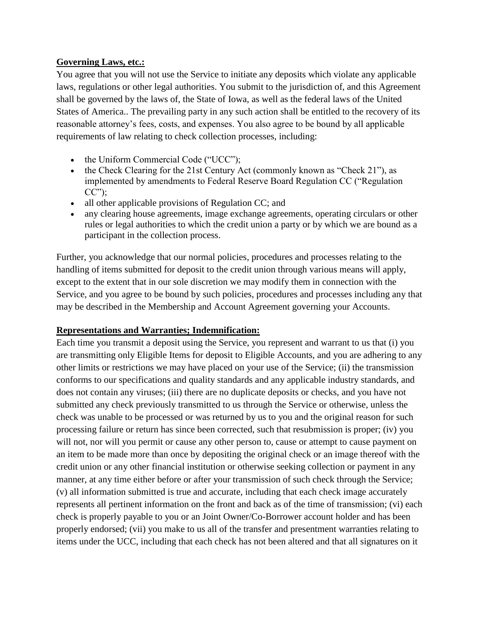# **Governing Laws, etc.:**

You agree that you will not use the Service to initiate any deposits which violate any applicable laws, regulations or other legal authorities. You submit to the jurisdiction of, and this Agreement shall be governed by the laws of, the State of Iowa, as well as the federal laws of the United States of America.. The prevailing party in any such action shall be entitled to the recovery of its reasonable attorney's fees, costs, and expenses. You also agree to be bound by all applicable requirements of law relating to check collection processes, including:

- the Uniform Commercial Code ("UCC");
- the Check Clearing for the 21st Century Act (commonly known as "Check 21"), as implemented by amendments to Federal Reserve Board Regulation CC ("Regulation  $CC$ "):
- all other applicable provisions of Regulation CC; and
- any clearing house agreements, image exchange agreements, operating circulars or other rules or legal authorities to which the credit union a party or by which we are bound as a participant in the collection process.

Further, you acknowledge that our normal policies, procedures and processes relating to the handling of items submitted for deposit to the credit union through various means will apply, except to the extent that in our sole discretion we may modify them in connection with the Service, and you agree to be bound by such policies, procedures and processes including any that may be described in the Membership and Account Agreement governing your Accounts.

# **Representations and Warranties; Indemnification:**

Each time you transmit a deposit using the Service, you represent and warrant to us that (i) you are transmitting only Eligible Items for deposit to Eligible Accounts, and you are adhering to any other limits or restrictions we may have placed on your use of the Service; (ii) the transmission conforms to our specifications and quality standards and any applicable industry standards, and does not contain any viruses; (iii) there are no duplicate deposits or checks, and you have not submitted any check previously transmitted to us through the Service or otherwise, unless the check was unable to be processed or was returned by us to you and the original reason for such processing failure or return has since been corrected, such that resubmission is proper; (iv) you will not, nor will you permit or cause any other person to, cause or attempt to cause payment on an item to be made more than once by depositing the original check or an image thereof with the credit union or any other financial institution or otherwise seeking collection or payment in any manner, at any time either before or after your transmission of such check through the Service; (v) all information submitted is true and accurate, including that each check image accurately represents all pertinent information on the front and back as of the time of transmission; (vi) each check is properly payable to you or an Joint Owner/Co-Borrower account holder and has been properly endorsed; (vii) you make to us all of the transfer and presentment warranties relating to items under the UCC, including that each check has not been altered and that all signatures on it